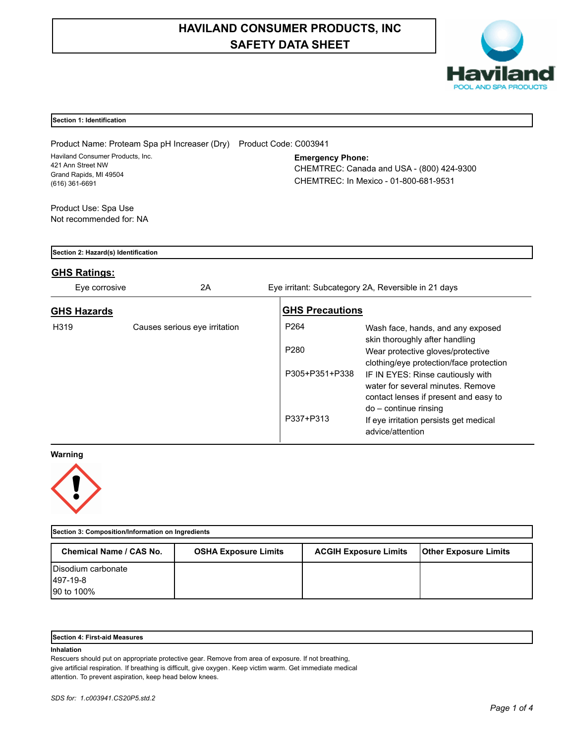# **HAVILAND CONSUMER PRODUCTS, INC SAFETY DATA SHEET**



| Section 1: Identification                                                                                                                         |                               |                        |                                                                                                                 |  |
|---------------------------------------------------------------------------------------------------------------------------------------------------|-------------------------------|------------------------|-----------------------------------------------------------------------------------------------------------------|--|
|                                                                                                                                                   |                               | Product Code: C003941  |                                                                                                                 |  |
| Product Name: Proteam Spa pH Increaser (Dry)<br>Haviland Consumer Products, Inc.<br>421 Ann Street NW<br>Grand Rapids, MI 49504<br>(616) 361-6691 |                               |                        | <b>Emergency Phone:</b><br>CHEMTREC: Canada and USA - (800) 424-9300<br>CHEMTREC: In Mexico - 01-800-681-9531   |  |
| Product Use: Spa Use                                                                                                                              |                               |                        |                                                                                                                 |  |
| Not recommended for: NA                                                                                                                           |                               |                        |                                                                                                                 |  |
|                                                                                                                                                   |                               |                        |                                                                                                                 |  |
| Section 2: Hazard(s) Identification                                                                                                               |                               |                        |                                                                                                                 |  |
| <b>GHS Ratings:</b>                                                                                                                               |                               |                        |                                                                                                                 |  |
| Eye corrosive                                                                                                                                     | 2A                            |                        | Eye irritant: Subcategory 2A, Reversible in 21 days                                                             |  |
| <b>GHS Hazards</b>                                                                                                                                |                               | <b>GHS Precautions</b> |                                                                                                                 |  |
| H <sub>319</sub>                                                                                                                                  | Causes serious eye irritation | P <sub>264</sub>       | Wash face, hands, and any exposed<br>skin thoroughly after handling                                             |  |
|                                                                                                                                                   |                               | P <sub>280</sub>       | Wear protective gloves/protective<br>clothing/eye protection/face protection                                    |  |
|                                                                                                                                                   |                               | P305+P351+P338         | IF IN EYES: Rinse cautiously with<br>water for several minutes. Remove<br>contact lenses if present and easy to |  |
|                                                                                                                                                   |                               |                        | do - continue rinsing                                                                                           |  |
|                                                                                                                                                   |                               | P337+P313              | If eye irritation persists get medical<br>advice/attention                                                      |  |
| Warning                                                                                                                                           |                               |                        |                                                                                                                 |  |



| Section 3: Composition/Information on Ingredients |                             |                              |                              |  |  |  |
|---------------------------------------------------|-----------------------------|------------------------------|------------------------------|--|--|--|
| Chemical Name / CAS No.                           | <b>OSHA Exposure Limits</b> | <b>ACGIH Exposure Limits</b> | <b>Other Exposure Limits</b> |  |  |  |
| Disodium carbonate                                |                             |                              |                              |  |  |  |
| 497-19-8                                          |                             |                              |                              |  |  |  |
| 90 to 100%                                        |                             |                              |                              |  |  |  |

## **Section 4: First-aid Measures**

## **Inhalation**

Rescuers should put on appropriate protective gear. Remove from area of exposure. If not breathing, give artificial respiration. If breathing is difficult, give oxygen. Keep victim warm. Get immediate medical attention. To prevent aspiration, keep head below knees.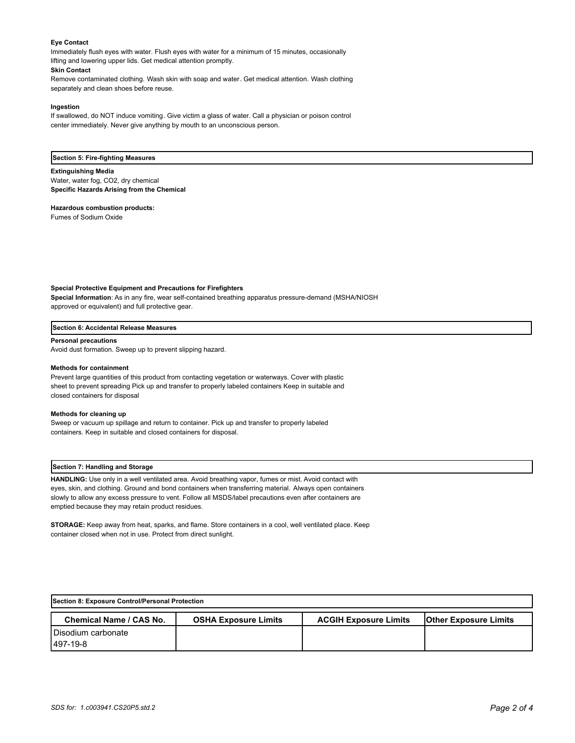## **Eye Contact**

Immediately flush eyes with water. Flush eyes with water for a minimum of 15 minutes, occasionally lifting and lowering upper lids. Get medical attention promptly. **Skin Contact**

Remove contaminated clothing. Wash skin with soap and water. Get medical attention. Wash clothing separately and clean shoes before reuse.

#### **Ingestion**

If swallowed, do NOT induce vomiting. Give victim a glass of water. Call a physician or poison control center immediately. Never give anything by mouth to an unconscious person.

#### **Section 5: Fire-fighting Measures**

#### **Extinguishing Media**

Water, water fog, CO2, dry chemical **Specific Hazards Arising from the Chemical**

**Hazardous combustion products:**

Fumes of Sodium Oxide

## **Special Protective Equipment and Precautions for Firefighters**

**Special Information**: As in any fire, wear self-contained breathing apparatus pressure-demand (MSHA/NIOSH approved or equivalent) and full protective gear.

#### **Section 6: Accidental Release Measures**

#### **Personal precautions**

Avoid dust formation. Sweep up to prevent slipping hazard.

#### **Methods for containment**

Prevent large quantities of this product from contacting vegetation or waterways. Cover with plastic sheet to prevent spreading Pick up and transfer to properly labeled containers Keep in suitable and closed containers for disposal

#### **Methods for cleaning up**

Sweep or vacuum up spillage and return to container. Pick up and transfer to properly labeled containers. Keep in suitable and closed containers for disposal.

#### **Section 7: Handling and Storage**

**HANDLING:** Use only in a well ventilated area. Avoid breathing vapor, fumes or mist. Avoid contact with eyes, skin, and clothing. Ground and bond containers when transferring material. Always open containers slowly to allow any excess pressure to vent. Follow all MSDS/label precautions even after containers are emptied because they may retain product residues.

**STORAGE:** Keep away from heat, sparks, and flame. Store containers in a cool, well ventilated place. Keep container closed when not in use. Protect from direct sunlight.

| Section 8: Exposure Control/Personal Protection |                             |                              |                              |  |  |  |
|-------------------------------------------------|-----------------------------|------------------------------|------------------------------|--|--|--|
| <b>Chemical Name / CAS No.</b>                  | <b>OSHA Exposure Limits</b> | <b>ACGIH Exposure Limits</b> | <b>Other Exposure Limits</b> |  |  |  |
| Disodium carbonate                              |                             |                              |                              |  |  |  |
| 1497-19-8                                       |                             |                              |                              |  |  |  |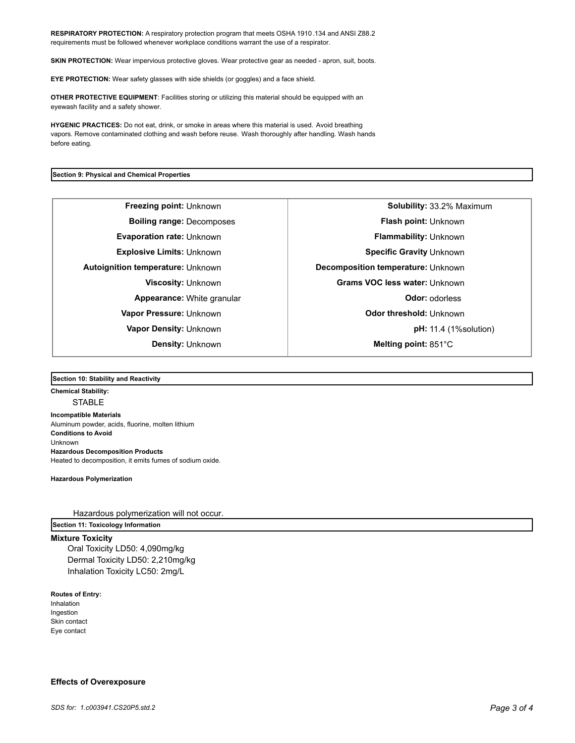**RESPIRATORY PROTECTION:** A respiratory protection program that meets OSHA 1910.134 and ANSI Z88.2 requirements must be followed whenever workplace conditions warrant the use of a respirator.

**SKIN PROTECTION:** Wear impervious protective gloves. Wear protective gear as needed - apron, suit, boots.

**EYE PROTECTION:** Wear safety glasses with side shields (or goggles) and a face shield.

**OTHER PROTECTIVE EQUIPMENT**: Facilities storing or utilizing this material should be equipped with an eyewash facility and a safety shower.

**HYGENIC PRACTICES:** Do not eat, drink, or smoke in areas where this material is used. Avoid breathing vapors. Remove contaminated clothing and wash before reuse. Wash thoroughly after handling. Wash hands before eating.

## **Section 9: Physical and Chemical Properties**

**Freezing point:** Unknown **Solubility:** 33.2% Maximum **Boiling range:** Decomposes **Flash point:** Unknown **Evaporation rate:** Unknown **Flammability:** Unknown **Explosive Limits:** Unknown **Specific Gravity** Unknown **Specific Gravity** Unknown **Autoignition temperature:** Unknown **Decomposition temperature:** Unknown **Viscosity:** Unknown **Grams VOC less water:** Unknown **Appearance:** White granular **CODO EXECUTE:** Odor: odorless **Vapor Pressure:** Unknown **Odor threshold:** Unknown **Vapor Density:** Unknown **pH:** 11.4 (1%solution) **Density:** Unknown **Melting point:** 851°C

#### **Section 10: Stability and Reactivity**

**Chemical Stability: STABLE Incompatible Materials**  Aluminum powder, acids, fluorine, molten lithium **Conditions to Avoid** Unknown **Hazardous Decomposition Products** Heated to decomposition, it emits fumes of sodium oxide.

**Hazardous Polymerization**

Hazardous polymerization will not occur.

**Section 11: Toxicology Information**

# **Mixture Toxicity**

Oral Toxicity LD50: 4,090mg/kg Dermal Toxicity LD50: 2,210mg/kg Inhalation Toxicity LC50: 2mg/L

## **Routes of Entry:**

Inhalation Ingestion Skin contact Eye contact

# **Effects of Overexposure**